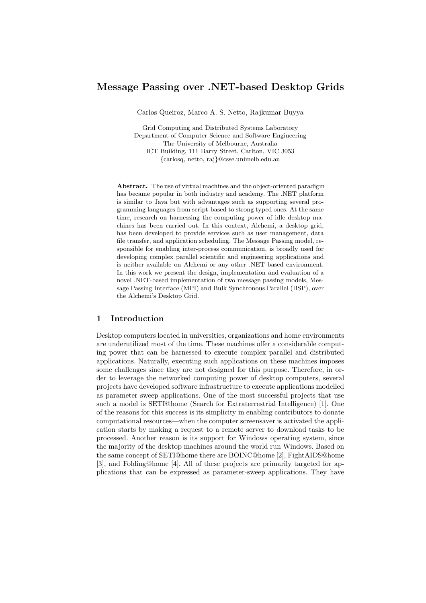# Message Passing over .NET-based Desktop Grids

Carlos Queiroz, Marco A. S. Netto, Rajkumar Buyya

Grid Computing and Distributed Systems Laboratory Department of Computer Science and Software Engineering The University of Melbourne, Australia ICT Building, 111 Barry Street, Carlton, VIC 3053 {carlosq, netto, raj}@csse.unimelb.edu.au

Abstract. The use of virtual machines and the object-oriented paradigm has became popular in both industry and academy. The .NET platform is similar to Java but with advantages such as supporting several programming languages from script-based to strong typed ones. At the same time, research on harnessing the computing power of idle desktop machines has been carried out. In this context, Alchemi, a desktop grid, has been developed to provide services such as user management, data file transfer, and application scheduling. The Message Passing model, responsible for enabling inter-process communication, is broadly used for developing complex parallel scientific and engineering applications and is neither available on Alchemi or any other .NET based environment. In this work we present the design, implementation and evaluation of a novel .NET-based implementation of two message passing models, Message Passing Interface (MPI) and Bulk Synchronous Parallel (BSP), over the Alchemi's Desktop Grid.

# 1 Introduction

Desktop computers located in universities, organizations and home environments are underutilized most of the time. These machines offer a considerable computing power that can be harnessed to execute complex parallel and distributed applications. Naturally, executing such applications on these machines imposes some challenges since they are not designed for this purpose. Therefore, in order to leverage the networked computing power of desktop computers, several projects have developed software infrastructure to execute applications modelled as parameter sweep applications. One of the most successful projects that use such a model is SETI@home (Search for Extraterrestrial Intelligence) [1]. One of the reasons for this success is its simplicity in enabling contributors to donate computational resources—when the computer screensaver is activated the application starts by making a request to a remote server to download tasks to be processed. Another reason is its support for Windows operating system, since the majority of the desktop machines around the world run Windows. Based on the same concept of SETI@home there are BOINC@home [2], FightAIDS@home [3], and Folding@home [4]. All of these projects are primarily targeted for applications that can be expressed as parameter-sweep applications. They have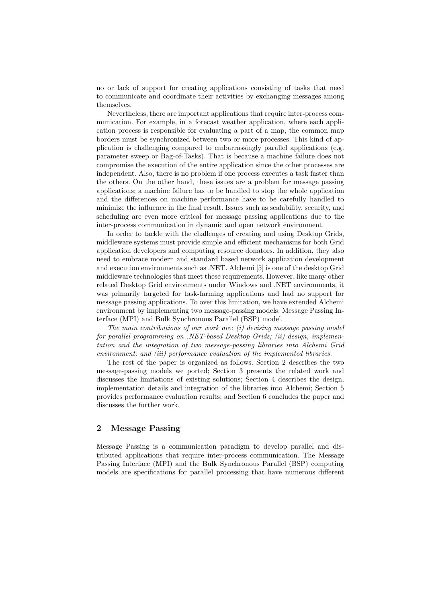no or lack of support for creating applications consisting of tasks that need to communicate and coordinate their activities by exchanging messages among themselves.

Nevertheless, there are important applications that require inter-process communication. For example, in a forecast weather application, where each application process is responsible for evaluating a part of a map, the common map borders must be synchronized between two or more processes. This kind of application is challenging compared to embarrassingly parallel applications (e.g. parameter sweep or Bag-of-Tasks). That is because a machine failure does not compromise the execution of the entire application since the other processes are independent. Also, there is no problem if one process executes a task faster than the others. On the other hand, these issues are a problem for message passing applications; a machine failure has to be handled to stop the whole application and the differences on machine performance have to be carefully handled to minimize the influence in the final result. Issues such as scalability, security, and scheduling are even more critical for message passing applications due to the inter-process communication in dynamic and open network environment.

In order to tackle with the challenges of creating and using Desktop Grids, middleware systems must provide simple and efficient mechanisms for both Grid application developers and computing resource donators. In addition, they also need to embrace modern and standard based network application development and execution environments such as .NET. Alchemi [5] is one of the desktop Grid middleware technologies that meet these requirements. However, like many other related Desktop Grid environments under Windows and .NET environments, it was primarily targeted for task-farming applications and had no support for message passing applications. To over this limitation, we have extended Alchemi environment by implementing two message-passing models: Message Passing Interface (MPI) and Bulk Synchronous Parallel (BSP) model.

The main contributions of our work are: (i) devising message passing model for parallel programming on .NET-based Desktop Grids; (ii) design, implementation and the integration of two message-passing libraries into Alchemi Grid environment; and (iii) performance evaluation of the implemented libraries.

The rest of the paper is organized as follows. Section 2 describes the two message-passing models we ported; Section 3 presents the related work and discusses the limitations of existing solutions; Section 4 describes the design, implementation details and integration of the libraries into Alchemi; Section 5 provides performance evaluation results; and Section 6 concludes the paper and discusses the further work.

### 2 Message Passing

Message Passing is a communication paradigm to develop parallel and distributed applications that require inter-process communication. The Message Passing Interface (MPI) and the Bulk Synchronous Parallel (BSP) computing models are specifications for parallel processing that have numerous different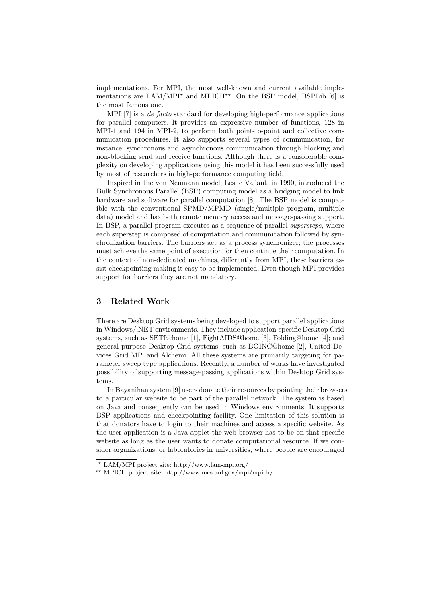implementations. For MPI, the most well-known and current available implementations are LAM/MPI<sup> $\star$ </sup> and MPICH<sup> $\star\star$ </sup>. On the BSP model, BSPLib [6] is the most famous one.

MPI [7] is a de facto standard for developing high-performance applications for parallel computers. It provides an expressive number of functions, 128 in MPI-1 and 194 in MPI-2, to perform both point-to-point and collective communication procedures. It also supports several types of communication, for instance, synchronous and asynchronous communication through blocking and non-blocking send and receive functions. Although there is a considerable complexity on developing applications using this model it has been successfully used by most of researchers in high-performance computing field.

Inspired in the von Neumann model, Leslie Valiant, in 1990, introduced the Bulk Synchronous Parallel (BSP) computing model as a bridging model to link hardware and software for parallel computation [8]. The BSP model is compatible with the conventional SPMD/MPMD (single/multiple program, multiple data) model and has both remote memory access and message-passing support. In BSP, a parallel program executes as a sequence of parallel *supersteps*, where each superstep is composed of computation and communication followed by synchronization barriers. The barriers act as a process synchronizer; the processes must achieve the same point of execution for then continue their computation. In the context of non-dedicated machines, differently from MPI, these barriers assist checkpointing making it easy to be implemented. Even though MPI provides support for barriers they are not mandatory.

# 3 Related Work

There are Desktop Grid systems being developed to support parallel applications in Windows/.NET environments. They include application-specific Desktop Grid systems, such as SETI@home [1], FightAIDS@home [3], Folding@home [4]; and general purpose Desktop Grid systems, such as BOINC@home [2], United Devices Grid MP, and Alchemi. All these systems are primarily targeting for parameter sweep type applications. Recently, a number of works have investigated possibility of supporting message-passing applications within Desktop Grid systems.

In Bayanihan system [9] users donate their resources by pointing their browsers to a particular website to be part of the parallel network. The system is based on Java and consequently can be used in Windows environments. It supports BSP applications and checkpointing facility. One limitation of this solution is that donators have to login to their machines and access a specific website. As the user application is a Java applet the web browser has to be on that specific website as long as the user wants to donate computational resource. If we consider organizations, or laboratories in universities, where people are encouraged

<sup>⋆</sup> LAM/MPI project site: http://www.lam-mpi.org/

<sup>⋆⋆</sup> MPICH project site: http://www.mcs.anl.gov/mpi/mpich/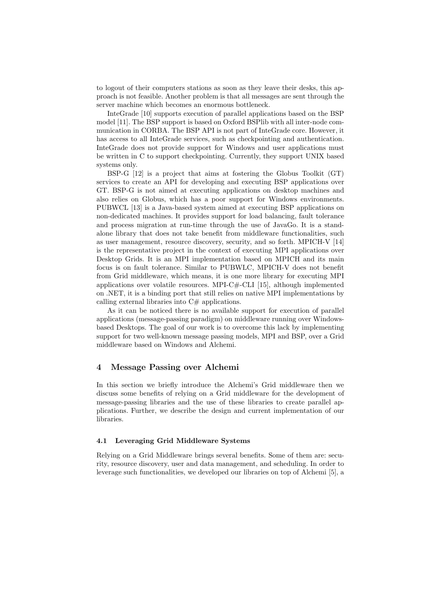to logout of their computers stations as soon as they leave their desks, this approach is not feasible. Another problem is that all messages are sent through the server machine which becomes an enormous bottleneck.

InteGrade [10] supports execution of parallel applications based on the BSP model [11]. The BSP support is based on Oxford BSPlib with all inter-node communication in CORBA. The BSP API is not part of InteGrade core. However, it has access to all InteGrade services, such as checkpointing and authentication. InteGrade does not provide support for Windows and user applications must be written in C to support checkpointing. Currently, they support UNIX based systems only.

BSP-G [12] is a project that aims at fostering the Globus Toolkit (GT) services to create an API for developing and executing BSP applications over GT. BSP-G is not aimed at executing applications on desktop machines and also relies on Globus, which has a poor support for Windows environments. PUBWCL [13] is a Java-based system aimed at executing BSP applications on non-dedicated machines. It provides support for load balancing, fault tolerance and process migration at run-time through the use of JavaGo. It is a standalone library that does not take benefit from middleware functionalities, such as user management, resource discovery, security, and so forth. MPICH-V [14] is the representative project in the context of executing MPI applications over Desktop Grids. It is an MPI implementation based on MPICH and its main focus is on fault tolerance. Similar to PUBWLC, MPICH-V does not benefit from Grid middleware, which means, it is one more library for executing MPI applications over volatile resources. MPI-C $\#$ -CLI [15], although implemented on .NET, it is a binding port that still relies on native MPI implementations by calling external libraries into  $C#$  applications.

As it can be noticed there is no available support for execution of parallel applications (message-passing paradigm) on middleware running over Windowsbased Desktops. The goal of our work is to overcome this lack by implementing support for two well-known message passing models, MPI and BSP, over a Grid middleware based on Windows and Alchemi.

### 4 Message Passing over Alchemi

In this section we briefly introduce the Alchemi's Grid middleware then we discuss some benefits of relying on a Grid middleware for the development of message-passing libraries and the use of these libraries to create parallel applications. Further, we describe the design and current implementation of our libraries.

#### 4.1 Leveraging Grid Middleware Systems

Relying on a Grid Middleware brings several benefits. Some of them are: security, resource discovery, user and data management, and scheduling. In order to leverage such functionalities, we developed our libraries on top of Alchemi [5], a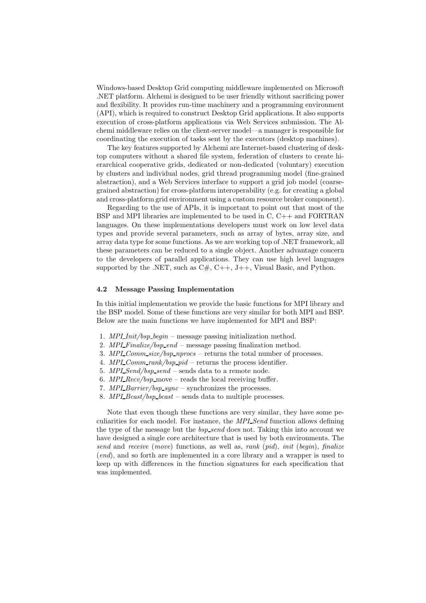Windows-based Desktop Grid computing middleware implemented on Microsoft .NET platform. Alchemi is designed to be user friendly without sacrificing power and flexibility. It provides run-time machinery and a programming environment (API), which is required to construct Desktop Grid applications. It also supports execution of cross-platform applications via Web Services submission. The Alchemi middleware relies on the client-server model—a manager is responsible for coordinating the execution of tasks sent by the executors (desktop machines).

The key features supported by Alchemi are Internet-based clustering of desktop computers without a shared file system, federation of clusters to create hierarchical cooperative grids, dedicated or non-dedicated (voluntary) execution by clusters and individual nodes, grid thread programming model (fine-grained abstraction), and a Web Services interface to support a grid job model (coarsegrained abstraction) for cross-platform interoperability (e.g. for creating a global and cross-platform grid environment using a custom resource broker component).

Regarding to the use of APIs, it is important to point out that most of the BSP and MPI libraries are implemented to be used in C, C++ and FORTRAN languages. On these implementations developers must work on low level data types and provide several parameters, such as array of bytes, array size, and array data type for some functions. As we are working top of .NET framework, all these parameters can be reduced to a single object. Another advantage concern to the developers of parallel applications. They can use high level languages supported by the .NET, such as  $C#$ ,  $C++$ ,  $J++$ , Visual Basic, and Python.

#### 4.2 Message Passing Implementation

In this initial implementation we provide the basic functions for MPI library and the BSP model. Some of these functions are very similar for both MPI and BSP. Below are the main functions we have implemented for MPI and BSP:

- 1. MPI Init/bsp begin message passing initialization method.
- 2. MPL Finalize/bsp\_end message passing finalization method.
- 3. MPI\_Comm\_size/bsp\_nprocs returns the total number of processes.
- 4.  $MPI\_Comm\_rank/bsp\_pid$  returns the process identifier.
- 5. MPI Send/bsp\_send sends data to a remote node.
- 6. MPL  $Recv/bsp$  move reads the local receiving buffer.
- 7. MPI\_Barrier/bsp\_sync synchronizes the processes.
- 8.  $MPI\_Bcast/bsp\_bcast$  sends data to multiple processes.

Note that even though these functions are very similar, they have some peculiarities for each model. For instance, the MPI Send function allows defining the type of the message but the *bsp\_send* does not. Taking this into account we have designed a single core architecture that is used by both environments. The send and receive (move) functions, as well as, rank (pid), init (begin), finalize (end), and so forth are implemented in a core library and a wrapper is used to keep up with differences in the function signatures for each specification that was implemented.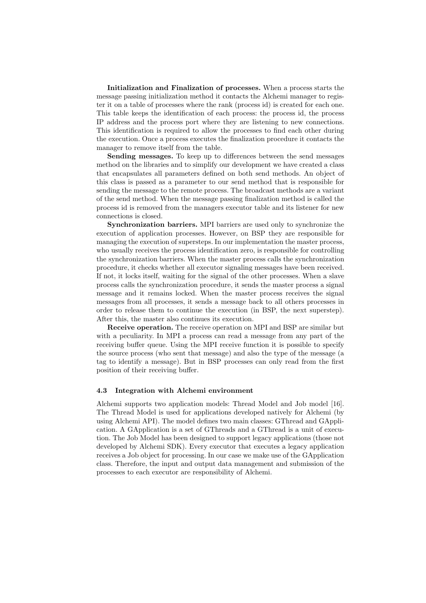Initialization and Finalization of processes. When a process starts the message passing initialization method it contacts the Alchemi manager to register it on a table of processes where the rank (process id) is created for each one. This table keeps the identification of each process: the process id, the process IP address and the process port where they are listening to new connections. This identification is required to allow the processes to find each other during the execution. Once a process executes the finalization procedure it contacts the manager to remove itself from the table.

Sending messages. To keep up to differences between the send messages method on the libraries and to simplify our development we have created a class that encapsulates all parameters defined on both send methods. An object of this class is passed as a parameter to our send method that is responsible for sending the message to the remote process. The broadcast methods are a variant of the send method. When the message passing finalization method is called the process id is removed from the managers executor table and its listener for new connections is closed.

Synchronization barriers. MPI barriers are used only to synchronize the execution of application processes. However, on BSP they are responsible for managing the execution of supersteps. In our implementation the master process, who usually receives the process identification zero, is responsible for controlling the synchronization barriers. When the master process calls the synchronization procedure, it checks whether all executor signaling messages have been received. If not, it locks itself, waiting for the signal of the other processes. When a slave process calls the synchronization procedure, it sends the master process a signal message and it remains locked. When the master process receives the signal messages from all processes, it sends a message back to all others processes in order to release them to continue the execution (in BSP, the next superstep). After this, the master also continues its execution.

Receive operation. The receive operation on MPI and BSP are similar but with a peculiarity. In MPI a process can read a message from any part of the receiving buffer queue. Using the MPI receive function it is possible to specify the source process (who sent that message) and also the type of the message (a tag to identify a message). But in BSP processes can only read from the first position of their receiving buffer.

### 4.3 Integration with Alchemi environment

Alchemi supports two application models: Thread Model and Job model [16]. The Thread Model is used for applications developed natively for Alchemi (by using Alchemi API). The model defines two main classes: GThread and GApplication. A GApplication is a set of GThreads and a GThread is a unit of execution. The Job Model has been designed to support legacy applications (those not developed by Alchemi SDK). Every executor that executes a legacy application receives a Job object for processing. In our case we make use of the GApplication class. Therefore, the input and output data management and submission of the processes to each executor are responsibility of Alchemi.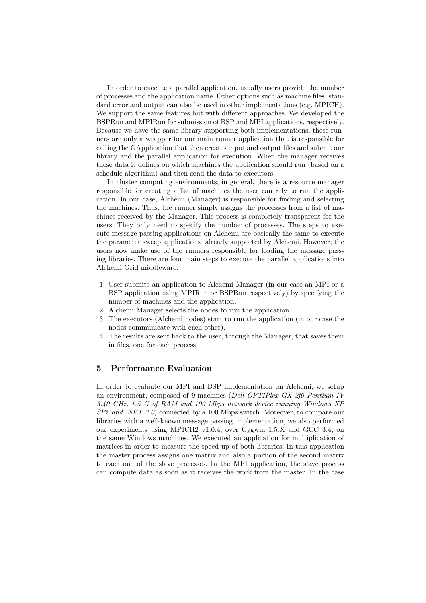In order to execute a parallel application, usually users provide the number of processes and the application name. Other options such as machine files, standard error and output can also be used in other implementations (e.g. MPICH). We support the same features but with different approaches. We developed the BSPRun and MPIRun for submission of BSP and MPI applications, respectively. Because we have the same library supporting both implementations, these runners are only a wrapper for our main runner application that is responsible for calling the GApplication that then creates input and output files and submit our library and the parallel application for execution. When the manager receives these data it defines on which machines the application should run (based on a schedule algorithm) and then send the data to executors.

In cluster computing environments, in general, there is a resource manager responsible for creating a list of machines the user can rely to run the application. In our case, Alchemi (Manager) is responsible for finding and selecting the machines. Thus, the runner simply assigns the processes from a list of machines received by the Manager. This process is completely transparent for the users. They only need to specify the number of processes. The steps to execute message-passing applications on Alchemi are basically the same to execute the parameter sweep applications already supported by Alchemi. However, the users now make use of the runners responsible for loading the message passing libraries. There are four main steps to execute the parallel applications into Alchemi Grid middleware:

- 1. User submits an application to Alchemi Manager (in our case an MPI or a BSP application using MPIRun or BSPRun respectively) by specifying the number of machines and the application.
- 2. Alchemi Manager selects the nodes to run the application.
- 3. The executors (Alchemi nodes) start to run the application (in our case the nodes communicate with each other).
- 4. The results are sent back to the user, through the Manager, that saves them in files, one for each process.

# 5 Performance Evaluation

In order to evaluate our MPI and BSP implementation on Alchemi, we setup an environment, composed of 9 machines (Dell OPTIPlex GX 2f0 Pentium IV 3.40 GHz, 1.5 G of RAM and 100 Mbps network device running Windows XP SP2 and .NET 2.0) connected by a 100 Mbps switch. Moreover, to compare our libraries with a well-known message passing implementation, we also performed our experiments using MPICH2 v1.0.4, over Cygwin 1.5.X and GCC 3.4, on the same Windows machines. We executed an application for multiplication of matrices in order to measure the speed up of both libraries. In this application the master process assigns one matrix and also a portion of the second matrix to each one of the slave processes. In the MPI application, the slave process can compute data as soon as it receives the work from the master. In the case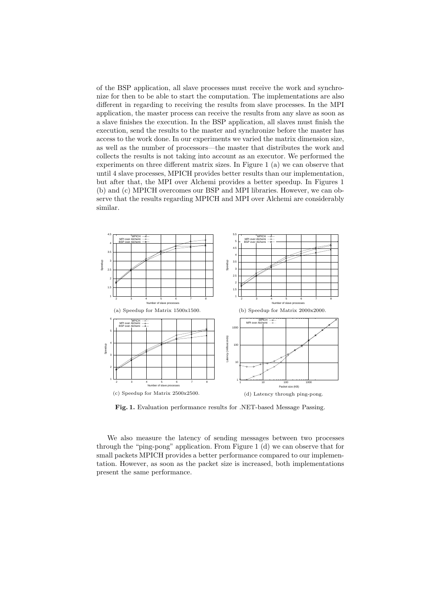of the BSP application, all slave processes must receive the work and synchronize for then to be able to start the computation. The implementations are also different in regarding to receiving the results from slave processes. In the MPI application, the master process can receive the results from any slave as soon as a slave finishes the execution. In the BSP application, all slaves must finish the execution, send the results to the master and synchronize before the master has access to the work done. In our experiments we varied the matrix dimension size, as well as the number of processors—the master that distributes the work and collects the results is not taking into account as an executor. We performed the experiments on three different matrix sizes. In Figure 1 (a) we can observe that until 4 slave processes, MPICH provides better results than our implementation, but after that, the MPI over Alchemi provides a better speedup. In Figures 1 (b) and (c) MPICH overcomes our BSP and MPI libraries. However, we can observe that the results regarding MPICH and MPI over Alchemi are considerably similar.



Fig. 1. Evaluation performance results for .NET-based Message Passing.

We also measure the latency of sending messages between two processes through the "ping-pong" application. From Figure 1 (d) we can observe that for small packets MPICH provides a better performance compared to our implementation. However, as soon as the packet size is increased, both implementations present the same performance.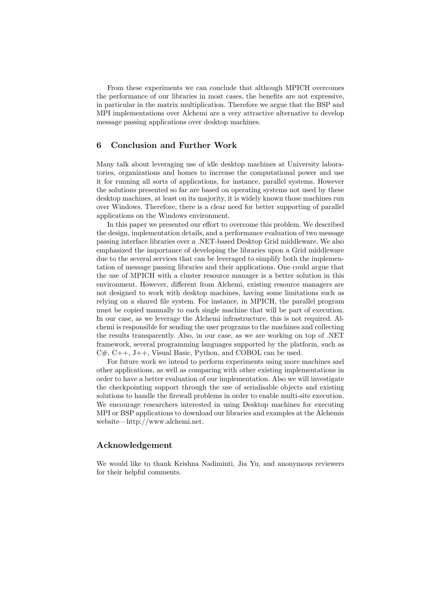From these experiments we can conclude that although MPICH overcomes the performance of our libraries in most cases, the benefits are not expressive, in particular in the matrix multiplication. Therefore we argue that the BSP and MPI implementations over Alchemi are a very attractive alternative to develop message passing applications over desktop machines.

# 6 Conclusion and Further Work

Many talk about leveraging use of idle desktop machines at University laboratories, organizations and homes to increase the computational power and use it for running all sorts of applications, for instance, parallel systems. However the solutions presented so far are based on operating systems not used by these desktop machines, at least on its majority, it is widely known those machines run over Windows. Therefore, there is a clear need for better supporting of parallel applications on the Windows environment.

In this paper we presented our effort to overcome this problem. We described the design, implementation details, and a performance evaluation of two message passing interface libraries over a .NET-based Desktop Grid middleware. We also emphasized the importance of developing the libraries upon a Grid middleware due to the several services that can be leveraged to simplify both the implementation of message passing libraries and their applications. One could argue that the use of MPICH with a cluster resource manager is a better solution in this environment. However, different from Alchemi, existing resource managers are not designed to work with desktop machines, having some limitations such as relying on a shared file system. For instance, in MPICH, the parallel program must be copied manually to each single machine that will be part of execution. In our case, as we leverage the Alchemi infrastructure, this is not required. Alchemi is responsible for sending the user programs to the machines and collecting the results transparently. Also, in our case, as we are working on top of .NET framework, several programming languages supported by the platform, such as C#, C++, J++, Visual Basic, Python, and COBOL can be used.

For future work we intend to perform experiments using more machines and other applications, as well as comparing with other existing implementations in order to have a better evaluation of our implementation. Also we will investigate the checkpointing support through the use of serialisable objects and existing solutions to handle the firewall problems in order to enable multi-site execution. We encourage researchers interested in using Desktop machines for executing MPI or BSP applications to download our libraries and examples at the Alchemis website—http://www.alchemi.net.

### Acknowledgement

We would like to thank Krishna Nadiminti, Jia Yu, and anonymous reviewers for their helpful comments.